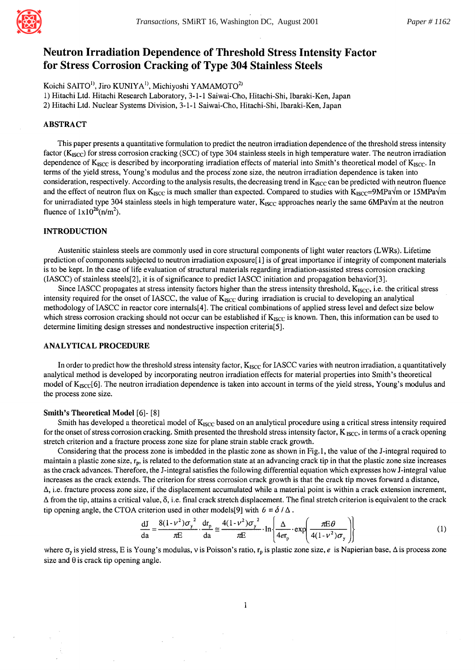

# **Neutron Irradiation Dependence of Threshold Stress Intensity Factor for Stress Corrosion Cracking of Type 304 Stainless Steels**

Koichi SAITO<sup>1)</sup>, Jiro KUNIYA<sup>1)</sup>, Michiyoshi YAMAMOTO<sup>2)</sup>

1) Hitachi Ltd. Hitachi Research Laboratory, 3-1-1 Saiwai-Cho, Hitachi-Shi, Ibaraki-Ken, Japan

2) Hitachi Ltd. Nuclear Systems Division, 3-1-1 Saiwai-Cho, Hitachi-Shi, Ibaraki-Ken, Japan

## ABSTRACT

This paper presents a quantitative formulation to predict the neutron irradiation dependence of the threshold stress intensity factor ( $K_{ISCC}$ ) for stress corrosion cracking (SCC) of type 304 stainless steels in high temperature water. The neutron irradiation dependence of  $K_{ISCC}$  is described by incorporating irradiation effects of material into Smith's theoretical model of  $K_{ISCC}$ . In terms of the yield stress, Young's modulus and the process' zone size, the neutron irradiation dependence is taken into consideration, respectively. According to the analysis results, the decreasing trend in  $K_{ISCC}$  can be predicted with neutron fluence and the effect of neutron flux on K<sub>ISCC</sub> is much smaller than expected. Compared to studies with K<sub>ISCC</sub>=9MPa $\sqrt{m}$  or 15MPa $\sqrt{m}$ for unirradiated type 304 stainless steels in high temperature water,  $K_{ISCC}$  approaches nearly the same 6MPa $\sqrt{m}$  at the neutron fluence of  $1x10^{26}$ (n/m<sup>2</sup>).

# INTRODUCTION

Austenitic stainless steels are commonly used in core structural components of light water reactors (LWRs). Lifetime prediction of components subjected to neutron irradiation exposure[ 1 ] is of great importance if integrity of component materials is to be kept. In the case of life evaluation of structural materials regarding irradiation-assisted stress corrosion cracking (IASCC) of stainless steels[2], it is of significance to predict IASCC initiation and propagation behavior[3].

Since IASCC propagates at stress intensity factors higher than the stress intensity threshold,  $K_{ISCO}$ , i.e. the critical stress intensity required for the onset of IASCC, the value of  $K_{ISCC}$  during irradiation is crucial to developing an analytical methodology of IASCC in reactor core internals[4]. The critical combinations of applied stress level and defect size below which stress corrosion cracking should not occur can be established if  $K_{ISCC}$  is known. Then, this information can be used to determine limiting design stresses and nondestructive inspection criteria[5].

## ANALYTICAL PROCEDURE

In order to predict how the threshold stress intensity factor, K<sub>ISCC</sub> for IASCC varies with neutron irradiation, a quantitatively analytical method is developed by incorporating neutron irradiation effects for material properties into Smith's theoretical model of K<sub>ISCC</sub>[6]. The neutron irradiation dependence is taken into account in terms of the yield stress, Young's modulus and the process zone size.

#### Smith's **Theoretical Model** [6]- [8]

Smith has developed a theoretical model of  $K_{ISCO}$  based on an analytical procedure using a critical stress intensity required for the onset of stress corrosion cracking. Smith presented the threshold stress intensity factor,  $K_{ISCC}$ , in terms of a crack opening stretch criterion and a fracture process zone size for plane strain stable crack growth.

Considering that the process zone is imbedded in the plastic zone as shown in Fig. 1, the value of the J-integral required to maintain a plastic zone size, r<sub>p</sub>, is related to the deformation state at an advancing crack tip in that the plastic zone size increases as the crack advances. Therefore, the J-integral satisfies the following differential equation which expresses how J-integral value increases as the crack extends. The criterion for stress corrosion crack growth is that the crack tip moves forward a distance, A, i.e. fracture process zone size, if the displacement accumulated while a material point is within a crack extension increment,  $\Delta$  from the tip, attains a critical value,  $\delta$ , i.e. final crack stretch displacement. The final stretch criterion is equivalent to the crack tip opening angle, the CTOA criterion used in other models[9] with  $6 = \delta / \Delta$ .

$$
\frac{dJ}{da} = \frac{8(1 - v^2)\sigma_y^2}{\pi E} \cdot \frac{dr_p}{da} \approx \frac{4(1 - v^2)\sigma_y^2}{\pi E} \cdot \ln \left\{ \frac{\Delta}{4er_p} \cdot \exp\left(\frac{\pi E \theta}{4(1 - v^2)\sigma_y}\right) \right\}
$$
(1)

where  $\sigma_y$  is yield stress, E is Young's modulus, v is Poisson's ratio,  $r_p$  is plastic zone size, e is Napierian base,  $\Delta$  is process zone size and  $\theta$  is crack tip opening angle.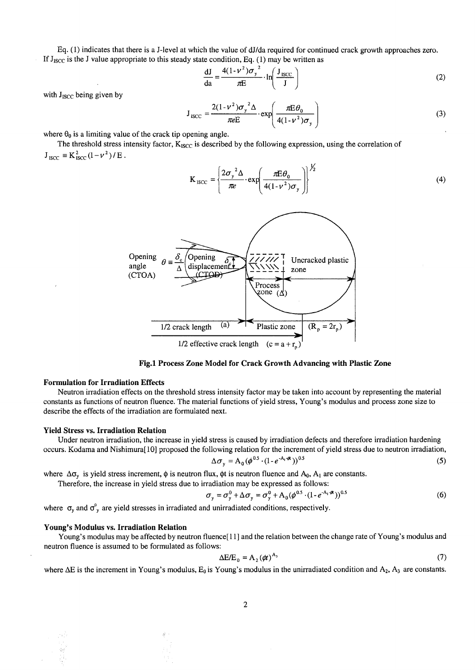Eq. (1) indicates that there is a J-level at which the value of dJ/da required for continued crack growth approaches zero. If  $J_{\text{ISCO}}$  is the J value appropriate to this steady state condition, Eq. (1) may be written as

$$
\frac{dJ}{da} = \frac{4(1 - v^2)\sigma_y^2}{\pi E} \cdot \ln\left(\frac{J_{\text{ISCO}}}{J}\right)
$$
 (2)

with  $J<sub>ISCC</sub>$  being given by

$$
J_{\text{ISCO}} = \frac{2(1 - v^2)\sigma_y^2 \Delta}{\pi e E} \cdot \exp\left(\frac{\pi E \theta_0}{4(1 - v^2)\sigma_y}\right)
$$
(3)

where  $\theta_0$  is a limiting value of the crack tip opening angle.

The threshold stress intensity factor,  $K_{ISCO}$  is described by the following expression, using the correlation of  $J_{\text{ISCO}} \equiv K_{\text{ISCO}}^2 (1-\nu^2) / E$ .

$$
K_{\text{ISCO}} = \left\{ \frac{2\sigma_y^2 \Delta}{\pi e} \cdot \exp\left(\frac{\pi E \theta_0}{4(1 - v^2)\sigma_y}\right) \right\}^{1/2}
$$
 (4)



**Fig.1 Process Zone Model for Crack Growth Advancing with Plastic Zone** 

## **Formulation for Irradiation Effects**

Neutron irradiation effects on the threshold stress intensity factor may be taken into account by representing the material constants as functions of neutron fluence. The material functions of yield stress, Young's modulus and process zone size to describe the effects of the irradiation are formulated next.

#### **Yield Stress vs. Irradiation Relation**

Under neutron irradiation, the increase in yield stress is caused by irradiation defects and therefore irradiation hardening occurs. Kodama and Nishimura[ 10] proposed the following relation for the increment of yield stress due to neutron irradiation,

$$
\Delta \sigma_y = A_0 (\phi^{0.5} \cdot (1 - e^{-A_1 \cdot \phi t}))^{0.5}
$$
 (5)

where  $\Delta \sigma_{v}$  is yield stress increment,  $\phi$  is neutron flux,  $\phi$ t is neutron fluence and A<sub>0</sub>, A<sub>1</sub> are constants.

Therefore, the increase in yield stress due to irradiation may be expressed as follows:

$$
\sigma_y = \sigma_y^0 + \Delta \sigma_y = \sigma_y^0 + A_0 (\phi^{0.5} \cdot (1 - e^{-A_1 \cdot \phi}))^{0.5}
$$
 (6)

where  $\sigma_y$  and  $\sigma_y^{\circ}$  are yield stresses in irradiated and unirradiated conditions, respectively.

#### **Young's Modulus vs. Irradiation Relation**

Young's modulus may be affected by neutron fluence[ 11 ] and the relation between the change rate of Young's modulus and neutron fluence is assumed to be formulated as follows:

$$
\Delta E/E_0 = A_2 (\phi t)^{A_3} \tag{7}
$$

where  $\Delta E$  is the increment in Young's modulus,  $E_0$  is Young's modulus in the unirradiated condition and  $A_2$ ,  $A_3$  are constants.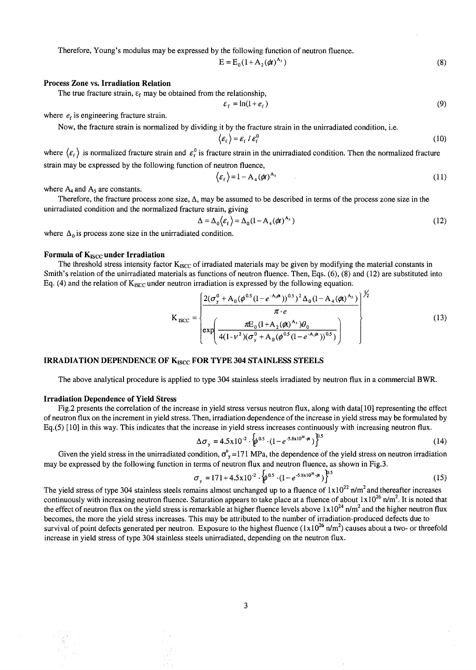Therefore, Young's modulus may be expressed by the following function of neutron fluence.

$$
E = E_0 \left( 1 + A_2(\phi t)^{A_3} \right) \tag{8}
$$

## **Process Zone vs. Irradiation Relation**

The true fracture strain,  $\varepsilon_f$  may be obtained from the relationship,

$$
\varepsilon_{\rm f} = \ln(1 + e_{\rm f})\tag{9}
$$

where  $e_f$  is engineering fracture strain.

Now, the fracture strain is normalized by dividing it by the fracture strain in the unirradiated condition, i.e.

$$
\langle \varepsilon_{\rm f} \rangle = \varepsilon_{\rm f} / \varepsilon_{\rm f}^0 \tag{10}
$$

where  $\langle \varepsilon_f \rangle$  is normalized fracture strain and  $\varepsilon_f^0$  is fracture strain in the unirradiated condition. Then the normalized fracture strain may be expressed by the following function of neutron fluence,

$$
\langle \varepsilon_{\rm f} \rangle = 1 - A_4 (\phi t)^{A_5} \tag{11}
$$

where  $A_4$  and  $A_5$  are constants.

Therefore, the fracture process zone size,  $\Delta$ , may be assumed to be described in terms of the process zone size in the unirradiated condition and the normalized fracture strain, giving

$$
\Delta = \Delta_0 \langle \varepsilon_f \rangle = \Delta_0 (1 - A_4 (\phi t)^{A_5})
$$
\n(12)

 $\sqrt{2}$ 

where  $\Delta_0$  is process zone size in the unirradiated condition.

## **Formula of K<sub>ISCC</sub> under Irradiation**

The threshold stress intensity factor  $K_{ISCO}$  of irradiated materials may be given by modifying the material constants in Smith's relation of the unirradiated materials as functions of neutron fluence. Then, Eqs. (6), (8) and (12) are substituted into Eq. (4) and the relation of  $K_{ISCO}$  under neutron irradiation is expressed by the following equation.

$$
K_{\text{ISCC}} = \begin{pmatrix} \frac{2(\sigma_y^0 + A_0(\phi^{0.5}(1 - e^{-A_i\phi}))^{0.5})^2 \Delta_0(1 - A_4(\phi)^{A_5})}{\pi \cdot e} \\ \exp\left(\frac{\pi E_0(1 + A_2(\phi)^{A_3})\theta_0}{4(1 - v^2)(\sigma_y^0 + A_0(\phi^{0.5}(1 - e^{-A_i\phi}))^{0.5})}\right)^{1/2} \end{pmatrix} \tag{13}
$$

# IRRADIATION DEPENDENCE OF K<sub>ISCC</sub> FOR TYPE 304 STAINLESS STEELS

The above analytical procedure is applied to type 304 stainless steels irradiated by neutron flux in a commercial BWR.

#### **Irradiation Dependence of Yield Stress**

Fig.2 presents the correlation of the increase in yield stress versus neutron flux, along with data[ 10] representing the effect of neutron flux on the increment in yield stress. Then, irradiation dependence of the increase in yield stress may be formulated by Eq.(5) [10] in this way. This indicates that the increase in yield stress increases continuously with increasing neutron flux.

$$
\Delta \sigma_{y} = 4.5 \times 10^{-2} \cdot \left\{ \phi^{0.5} \cdot (1 - e^{-5.8 \times 10^{26} \cdot \phi}) \right\}^{0.5}
$$
 (14)

Given the yield stress in the unirradiated condition,  $\sigma_y^0$  = 171 MPa, the dependence of the yield stress on neutron irradiation may be expressed by the following function in terms of neutron flux and neutron fluence, as shown in Fig.3.

$$
\sigma_{y} = 171 + 4.5 \times 10^{-2} \cdot \left( \phi^{0.5} \cdot (1 - e^{-5.8 \times 10^{26} \cdot \phi}) \right)^{0.5}
$$
 (15)

The yield stress of type 304 stainless steels remains almost unchanged up to a fluence of  $1 \times 10^{22}$  n/m<sup>2</sup> and thereafter increases continuously with increasing neutron fluence. Saturation appears to take place at a fluence of about  $1 \times 10^{26}$  n/m<sup>2</sup>. It is noted that the effect of neutron flux on the yield stress is remarkable at higher fluence levels above  $1 \times 10^{24}$  n/m<sup>2</sup> and the higher neutron flux becomes, the more the yield stress increases. This may be attributed to the number of irradiation-produced defects due to survival of point defects generated per neutron. Exposure to the highest fluence  $(1x10^{26} \text{ n/m}^2)$  causes about a two- or threefold increase in yield stress of type 304 stainless steels unirradiated, depending on the neutron flux.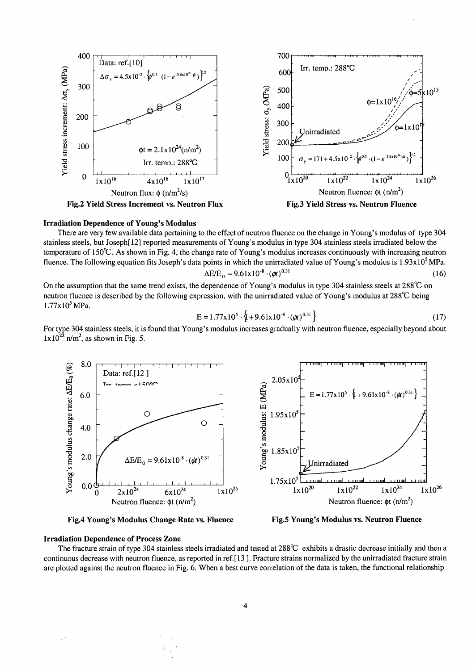

**Irradiation Dependence of Young's Modulus** 

There are very few available data pertaining to the effect of neutron fluence on the change in Young's modulus of type 304 stainless steels, but Joseph[ 12] reported measurements of Young's modulus in type 304 stainless steels irradiated below the temperature of 150°C. As shown in Fig. 4, the change rate of Young's modulus increases continuously with increasing neutron fluence. The following equation fits Joseph's data points in which the unirradiated value of Young's modulus is  $1.93 \times 10^5$  MPa.

$$
\Delta E/E_0 = 9.61 \times 10^{-8} \cdot (\phi t)^{0.31} \tag{16}
$$

On the assumption that the same trend exists, the dependence of Young's modulus in type 304 stainless steels at  $288^{\circ}$ C on neutron fluence is described by the following expression, with the unirradiated value of Young's modulus at 288°C being  $1.77x10<sup>5</sup> MPa.$ 

$$
E = 1.77x105 \cdot \{ +9.61x10-8 \cdot (\phi t)0.31 \}
$$
 (17)

For type 304 stainless steels, it is found that Young's modulus increases gradually with neutron fluence, especially beyond about  $1x10^{22}$  n/m<sup>2</sup>, as shown in Fig. 5.



**Fig.4 Young's Modulus Change Rate vs. Fluence Fig.5 Young's Modulus vs. Neutron Fluence** 

#### **Irradiation Dependence of Process Zone**

The fracture strain of type 304 stainless steels irradiated and tested at 288°C exhibits a drastic decrease initially and then a continuous decrease with neutron fluence, as reported in ref.[ 13 ]. Fracture strains normalized by the unirradiated fracture strain are plotted against the neutron fluence in Fig. 6. When a best curve correlation of the data is taken, the functional relationship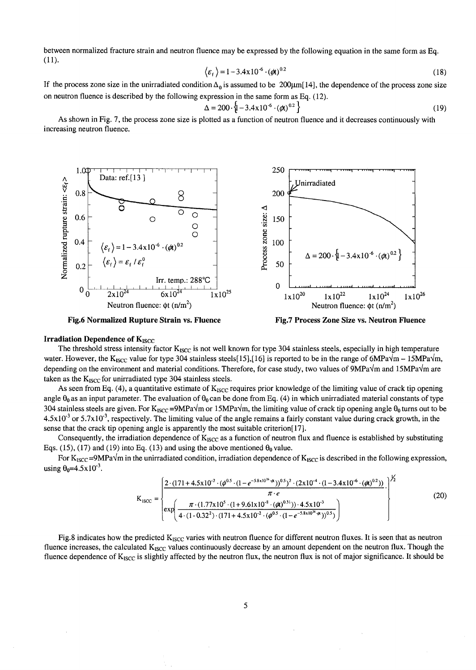between normalized fracture strain and neutron fluence may be expressed by the following equation in the same form as Eq. (11).

$$
\langle \varepsilon_{\rm f} \rangle = 1 - 3.4 \times 10^{-6} \cdot (\phi t)^{0.2} \tag{18}
$$

If the process zone size in the unirradiated condition  $\Delta_0$  is assumed to be 200 $\mu$ m[14], the dependence of the process zone size on neutron fluence is described by the following expression in the same form as Eq. (12).

$$
\Delta = 200 \cdot \left\{ 1 - 3.4 \times 10^{-6} \cdot (\phi t)^{0.2} \right\}
$$
 (19)

As shown in Fig. 7, the process zone size is plotted as a function of neutron fluence and it decreases continuously with increasing neutron fluence.



**Fig.6 Normalized Rupture Strain vs. Fluence** 

**Fig.7 Process Zone Size vs. Neutron Fluence** 

# **Irradiation Dependence of K<sub>ISCC</sub>**

The threshold stress intensity factor K<sub>ISCC</sub> is not well known for type 304 stainless steels, especially in high temperature water. However, the K<sub>ISCC</sub> value for type 304 stainless steels[15],[16] is reported to be in the range of 6MPa $\sqrt{m}$  – 15MPa $\sqrt{m}$ , depending on the environment and material conditions. Therefore, for case study, two values of  $9MPa\sqrt{m}$  and  $15MPa\sqrt{m}$  are taken as the  $K_{ISCC}$  for unirradiated type 304 stainless steels.

As seen from Eq. (4), a quantitative estimate of  $K_{ISCO}$  requires prior knowledge of the limiting value of crack tip opening angle  $\theta_0$  as an input parameter. The evaluation of  $\theta_0$  can be done from Eq. (4) in which unirradiated material constants of type 304 stainless steels are given. For  $K_{ISCC} = 9MPa\sqrt{m}$  or 15MPa $\sqrt{m}$ , the limiting value of crack tip opening angle  $\theta_0$  turns out to be  $4.5x10<sup>-3</sup>$  or  $5.7x10<sup>-3</sup>$ , respectively. The limiting value of the angle remains a fairly constant value during crack growth, in the sense that the crack tip opening angle is apparently the most suitable criterion[17].

Consequently, the irradiation dependence of  $K_{ISCC}$  as a function of neutron flux and fluence is established by substituting Eqs. (15), (17) and (19) into Eq. (13) and using the above mentioned  $\theta_0$  value.

For  $K_{ISCO}$ =9MPa $\sqrt{m}$  in the unirradiated condition, irradiation dependence of  $K_{ISCO}$  is described in the following expression, using  $\theta_0 = 4.5 \times 10^{-3}$ .

$$
K_{\text{ISCO}} = \begin{cases} \frac{2 \cdot (171 + 4.5 \times 10^{-2} \cdot (\phi^{0.5} \cdot (1 - e^{-5.8 \times 10^{26} \cdot \phi}))^{0.5})^2 \cdot (2 \times 10^{-4} \cdot (1 - 3.4 \times 10^{-6} \cdot (\phi)^{0.2}))}{\pi \cdot e} \\ \exp\left(\frac{\pi \cdot (1.77 \times 10^5 \cdot (1 + 9.61 \times 10^{-8} \cdot (\phi)^{0.31})) \cdot 4.5 \times 10^{-3}}{4 \cdot (1 - 0.32^2) \cdot (171 + 4.5 \times 10^{-2} \cdot (\phi^{0.5} \cdot (1 - e^{-5.8 \times 10^{26} \cdot \phi}))^{0.5})}\right)^{1/2} \end{cases} (20)
$$

Fig.8 indicates how the predicted  $K_{ISCC}$  varies with neutron fluence for different neutron fluxes. It is seen that as neutron fluence increases, the calculated K<sub>ISCC</sub> values continuously decrease by an amount dependent on the neutron flux. Though the fluence dependence of  $K_{ISCC}$  is slightly affected by the neutron flux, the neutron flux is not of major significance. It should be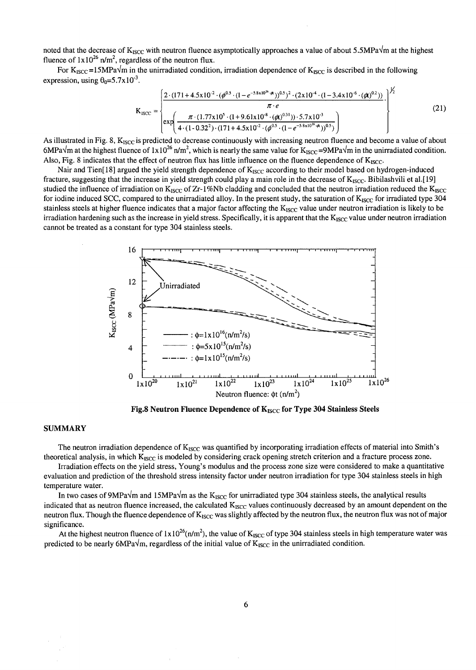noted that the decrease of  $K_{ISCC}$  with neutron fluence asymptotically approaches a value of about 5.5MPa $\sqrt{m}$  at the highest fluence of  $1x10^{26}$  n/m<sup>2</sup>, regardless of the neutron flux.

For  $K_{ISCO} = 15MPa\sqrt{m}$  in the unirradiated condition, irradiation dependence of  $K_{BCC}$  is described in the following expression, using  $\theta_0 = 5.7 \times 10^{-3}$ .

$$
K_{\text{ISCO}} = \begin{cases} \frac{2 \cdot (171 + 4.5 \times 10^{-2} \cdot (\phi^{0.5} \cdot (1 - e^{-5.8 \times 10^{26} \cdot \phi}))^{0.5})^2 \cdot (2 \times 10^{-4} \cdot (1 - 3.4 \times 10^{-6} \cdot (\phi))}{\pi \cdot e} \\ \exp\left(\frac{\pi \cdot (1.77 \times 10^5 \cdot (1 + 9.61 \times 10^{-8} \cdot (\phi))^{0.31})) \cdot 5.7 \times 10^{-3}}{4 \cdot (1 - 0.32^2) \cdot (171 + 4.5 \times 10^{-2} \cdot (\phi^{0.5} \cdot (1 - e^{-5.8 \times 10^{26} \cdot \phi}))^{0.5})}\right) \end{cases} \tag{21}
$$

As illustrated in Fig. 8, K<sub>ISCC</sub> is predicted to decrease continuously with increasing neutron fluence and become a value of about 6MPa $\sqrt{m}$  at the highest fluence of  $1 \times 10^{26}$  n/m<sup>2</sup>, which is nearly the same value for K<sub>ISCC</sub>=9MPa $\sqrt{m}$  in the unirradiated condition. Also, Fig. 8 indicates that the effect of neutron flux has little influence on the fluence dependence of  $K_{\text{ISCO}}$ .

Nair and Tien[18] argued the yield strength dependence of  $K_{ISCC}$  according to their model based on hydrogen-induced fracture, suggesting that the increase in yield strength could play a main role in the decrease of  $K_{ISCC}$ . Bibilashvili et al.[19] studied the influence of irradiation on  $K_{ISCC}$  of Zr-1%Nb cladding and concluded that the neutron irradiation reduced the  $K_{ISCC}$ for iodine induced SCC, compared to the unirradiated alloy. In the present study, the saturation of  $K_{\text{ISCO}}$  for irradiated type 304 stainless steels at higher fluence indicates that a major factor affecting the  $K_{ISCO}$  value under neutron irradiation is likely to be irradiation hardening such as the increase in yield stress. Specifically, it is apparent that the  $K_{ISCC}$  value under neutron irradiation cannot be treated as a constant for type 304 stainless steels.



Fig.8 Neutron Fluence Dependence of K<sub>ISCC</sub> for Type 304 Stainless Steels

#### **SUMMARY**

The neutron irradiation dependence of  $K_{ISCO}$  was quantified by incorporating irradiation effects of material into Smith's theoretical analysis, in which  $K_{ISCO}$  is modeled by considering crack opening stretch criterion and a fracture process zone.

Irradiation effects on the yield stress, Young's modulus and the process zone size were considered to make a quantitative evaluation and prediction of the threshold stress intensity factor under neutron irradiation for type 304 stainless steels in high temperature water.

In two cases of 9MPa $\sqrt{m}$  and 15MPa $\sqrt{m}$  as the K<sub>ISCC</sub> for unirradiated type 304 stainless steels, the analytical results indicated that as neutron fluence increased, the calculated K<sub>ISCC</sub> values continuously decreased by an amount dependent on the neutron flux. Though the fluence dependence of  $K_{\text{ISCO}}$  was slightly affected by the neutron flux, the neutron flux was not of major significance.

At the highest neutron fluence of  $1x10^{26}(n/m^2)$ , the value of K<sub>ISCC</sub> of type 304 stainless steels in high temperature water was predicted to be nearly 6MPa $\sqrt{m}$ , regardless of the initial value of  $K_{ISCC}$  in the unirradiated condition.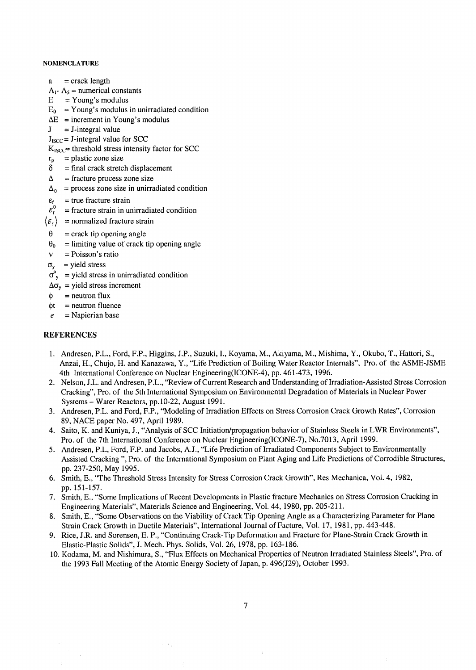### **NOMENCLATURE**

- $a =$  crack length
- $A_1$   $A_5$  = numerical constants
- $E = Young's$  modulus
- $E_0$  = Young's modulus in unirradiated condition
- $\Delta E$  = increment in Young's modulus
- $J = J$ -integral value
- $J<sub>ISCO</sub> = J-integral value for SCC$
- $K_{ISCC}$  = threshold stress intensity factor for SCC
- $r_p$  = plastic zone size
- $\delta$  = final crack stretch displacement
- $\Delta$  = fracture process zone size
- $\Delta_0$  = process zone size in unirradiated condition
- $\varepsilon_f$  = true fracture strain<br>  $\varepsilon_f^0$  = fracture strain in un
- $=$  fracture strain in unirradiated condition
- $\langle \varepsilon_{\rm f} \rangle$  = normalized fracture strain
- $\theta$  = crack tip opening angle
- $\theta_0$  = limiting value of crack tip opening angle
- $v = Poisson's ratio$
- $\sigma_v$  = yield stress
- $\sigma_{y}^{0}$  = yield stress in unirradiated condition
- $\Delta\sigma_{v}$  = yield stress increment
- $\phi$  = neutron flux
- $\phi t =$  neutron fluence
- $e$  = Napierian base

# **REFERENCES**

- 1. Andresen, P.L., Ford, F.P., Higgins, J.P., Suzuki, I., Koyama, M., Akiyama, M., Mishima, Y., Okubo, T., Hattori, S., Anzai, H., Chujo, H. and Kanazawa, Y., "Life Prediction of Boiling Water Reactor Internals", Pro. of the ASME-JSME 4th International Conference on Nuclear Engineering(ICONE-4), pp. 461-473, 1996.
- 2. Nelson, J.L. and Andresen, P.L., "Review of Current Research and Understanding of Irradiation-Assisted Stress Corrosion Cracking", Pro. of the 5th International Symposium on Environmental Degradation of Materials in Nuclear Power Systems - Water Reactors, pp.10-22, August 1991.
- 3. Andresen, P.L. and Ford, F.P., "Modeling of Irradiation Effects on Stress Corrosion Crack Growth Rates", Corrosion 89, NACE paper No. 497, April 1989.
- 4. Saito, K. and Kuniya, J., "Analysis of SCC Initiation/propagation behavior of Stainless Steels in LWR Environments", Pro. of the 7th International Conference on Nuclear Engineering(ICONE-7), No.7013, April 1999.
- 5. Andresen, P.L, Ford, F.P. and Jacobs, A.J., "Life Prediction of Irradiated Components Subject to Environmentally Assisted Cracking ", Pro. of the International Symposium on Plant Aging and Life Predictions of Corrodible Structures, pp. 237-250, May 1995.
- 6. Smith, E., "The Threshold Stress Intensity for Stress Corrosion Crack Growth", Res Mechanica, Vol. 4, 1982, pp. 151-157.
- 7. Smith, E., "Some Implications of Recent Developments in Plastic fracture Mechanics on Stress Corrosion Cracking in Engineering Materials", Materials Science and Engineering, Vol. 44, 1980, pp. 205-211.
- 8. Smith, E., "Some Observations on the Viability of Crack Tip Opening Angle as a Characterizing Parameter for Plane Strain Crack Growth in Ductile Materials", International Journal of Facture, Vol. 17, 1981, pp. 443-448.
- 9. Rice, J.R. and Sorensen, E. P., "Continuing Crack-Tip Deformation and Fracture for Plane-Strain Crack Growth in Elastic-Plastic Solids", J. Mech. Phys. Solids, Vol. 26, 1978, pp. 163-186.
- 10. Kodama, M. and Nishimura, S., "Flux Effects on Mechanical Properties of Neutron Irradiated Stainless Steels", Pro. of the 1993 Fall Meeting of the Atomic Energy Society of Japan, p. 496(J29), October 1993.